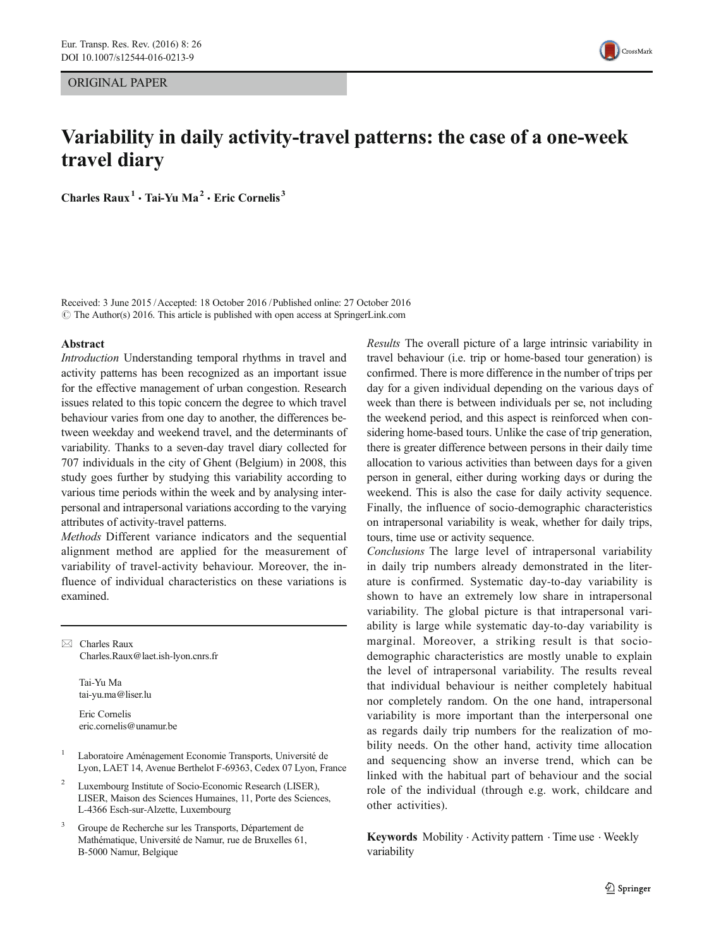#### ORIGINAL PAPER

# Variability in daily activity-travel patterns: the case of a one-week travel diary

Charles  $\text{Raux}^1 \cdot \text{Tail-Yu } \text{Ma}^2 \cdot \text{Eric Cornelis}^3$ 

Received: 3 June 2015 /Accepted: 18 October 2016 /Published online: 27 October 2016  $\odot$  The Author(s) 2016. This article is published with open access at SpringerLink.com

#### Abstract

Introduction Understanding temporal rhythms in travel and activity patterns has been recognized as an important issue for the effective management of urban congestion. Research issues related to this topic concern the degree to which travel behaviour varies from one day to another, the differences between weekday and weekend travel, and the determinants of variability. Thanks to a seven-day travel diary collected for 707 individuals in the city of Ghent (Belgium) in 2008, this study goes further by studying this variability according to various time periods within the week and by analysing interpersonal and intrapersonal variations according to the varying attributes of activity-travel patterns.

Methods Different variance indicators and the sequential alignment method are applied for the measurement of variability of travel-activity behaviour. Moreover, the influence of individual characteristics on these variations is examined.

 $\boxtimes$  Charles Raux Charles.Raux@laet.ish-lyon.cnrs.fr

> Tai-Yu Ma tai-yu.ma@liser.lu

Eric Cornelis eric.cornelis@unamur.be

- <sup>1</sup> Laboratoire Aménagement Economie Transports, Université de Lyon, LAET 14, Avenue Berthelot F-69363, Cedex 07 Lyon, France
- <sup>2</sup> Luxembourg Institute of Socio-Economic Research (LISER), LISER, Maison des Sciences Humaines, 11, Porte des Sciences, L-4366 Esch-sur-Alzette, Luxembourg
- <sup>3</sup> Groupe de Recherche sur les Transports, Département de Mathématique, Université de Namur, rue de Bruxelles 61, B-5000 Namur, Belgique

Results The overall picture of a large intrinsic variability in travel behaviour (i.e. trip or home-based tour generation) is confirmed. There is more difference in the number of trips per day for a given individual depending on the various days of week than there is between individuals per se, not including the weekend period, and this aspect is reinforced when considering home-based tours. Unlike the case of trip generation, there is greater difference between persons in their daily time allocation to various activities than between days for a given person in general, either during working days or during the weekend. This is also the case for daily activity sequence. Finally, the influence of socio-demographic characteristics on intrapersonal variability is weak, whether for daily trips, tours, time use or activity sequence.

Conclusions The large level of intrapersonal variability in daily trip numbers already demonstrated in the literature is confirmed. Systematic day-to-day variability is shown to have an extremely low share in intrapersonal variability. The global picture is that intrapersonal variability is large while systematic day-to-day variability is marginal. Moreover, a striking result is that sociodemographic characteristics are mostly unable to explain the level of intrapersonal variability. The results reveal that individual behaviour is neither completely habitual nor completely random. On the one hand, intrapersonal variability is more important than the interpersonal one as regards daily trip numbers for the realization of mobility needs. On the other hand, activity time allocation and sequencing show an inverse trend, which can be linked with the habitual part of behaviour and the social role of the individual (through e.g. work, childcare and other activities).

Keywords Mobility · Activity pattern · Time use · Weekly variability

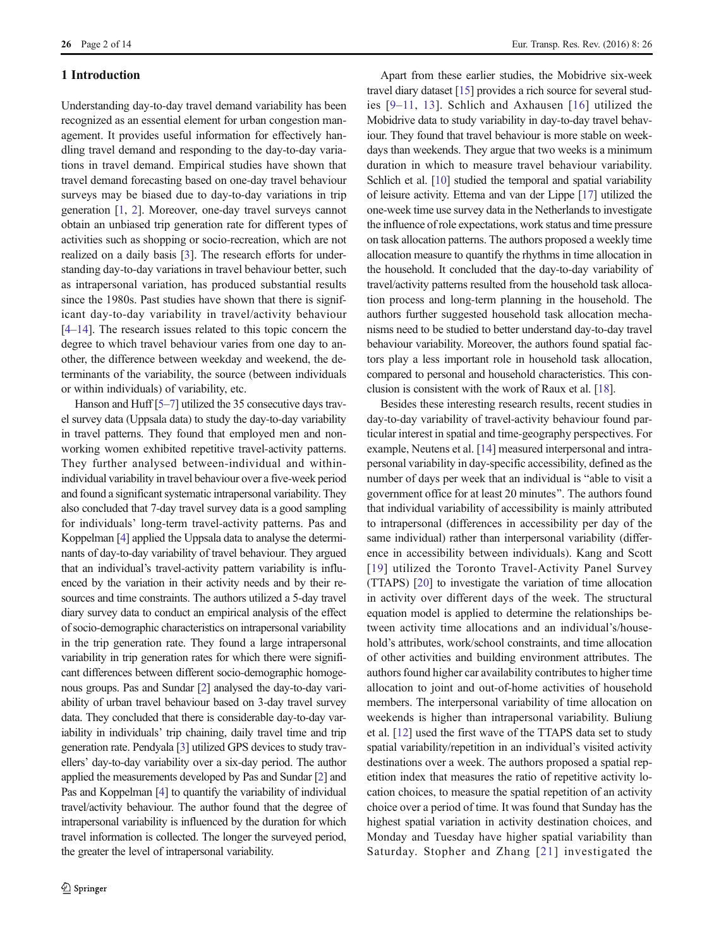#### 1 Introduction

Understanding day-to-day travel demand variability has been recognized as an essential element for urban congestion management. It provides useful information for effectively handling travel demand and responding to the day-to-day variations in travel demand. Empirical studies have shown that travel demand forecasting based on one-day travel behaviour surveys may be biased due to day-to-day variations in trip generation [\[1,](#page-13-0) [2\]](#page-13-0). Moreover, one-day travel surveys cannot obtain an unbiased trip generation rate for different types of activities such as shopping or socio-recreation, which are not realized on a daily basis [[3\]](#page-13-0). The research efforts for understanding day-to-day variations in travel behaviour better, such as intrapersonal variation, has produced substantial results since the 1980s. Past studies have shown that there is significant day-to-day variability in travel/activity behaviour  $[4–14]$  $[4–14]$  $[4–14]$ . The research issues related to this topic concern the degree to which travel behaviour varies from one day to another, the difference between weekday and weekend, the determinants of the variability, the source (between individuals or within individuals) of variability, etc.

Hanson and Huff [\[5](#page-13-0)–[7](#page-13-0)] utilized the 35 consecutive days travel survey data (Uppsala data) to study the day-to-day variability in travel patterns. They found that employed men and nonworking women exhibited repetitive travel-activity patterns. They further analysed between-individual and withinindividual variability in travel behaviour over a five-week period and found a significant systematic intrapersonal variability. They also concluded that 7-day travel survey data is a good sampling for individuals' long-term travel-activity patterns. Pas and Koppelman [\[4](#page-13-0)] applied the Uppsala data to analyse the determinants of day-to-day variability of travel behaviour. They argued that an individual's travel-activity pattern variability is influenced by the variation in their activity needs and by their resources and time constraints. The authors utilized a 5-day travel diary survey data to conduct an empirical analysis of the effect of socio-demographic characteristics on intrapersonal variability in the trip generation rate. They found a large intrapersonal variability in trip generation rates for which there were significant differences between different socio-demographic homogenous groups. Pas and Sundar [[2](#page-13-0)] analysed the day-to-day variability of urban travel behaviour based on 3-day travel survey data. They concluded that there is considerable day-to-day variability in individuals' trip chaining, daily travel time and trip generation rate. Pendyala [\[3\]](#page-13-0) utilized GPS devices to study travellers' day-to-day variability over a six-day period. The author applied the measurements developed by Pas and Sundar [\[2](#page-13-0)] and Pas and Koppelman [[4](#page-13-0)] to quantify the variability of individual travel/activity behaviour. The author found that the degree of intrapersonal variability is influenced by the duration for which travel information is collected. The longer the surveyed period, the greater the level of intrapersonal variability.

Apart from these earlier studies, the Mobidrive six-week travel diary dataset [\[15](#page-13-0)] provides a rich source for several studies [\[9](#page-13-0)–[11](#page-13-0), [13](#page-13-0)]. Schlich and Axhausen [[16](#page-13-0)] utilized the Mobidrive data to study variability in day-to-day travel behaviour. They found that travel behaviour is more stable on weekdays than weekends. They argue that two weeks is a minimum duration in which to measure travel behaviour variability. Schlich et al. [\[10\]](#page-13-0) studied the temporal and spatial variability of leisure activity. Ettema and van der Lippe [[17](#page-13-0)] utilized the one-week time use survey data in the Netherlands to investigate the influence of role expectations, work status and time pressure on task allocation patterns. The authors proposed a weekly time allocation measure to quantify the rhythms in time allocation in the household. It concluded that the day-to-day variability of travel/activity patterns resulted from the household task allocation process and long-term planning in the household. The authors further suggested household task allocation mechanisms need to be studied to better understand day-to-day travel behaviour variability. Moreover, the authors found spatial factors play a less important role in household task allocation, compared to personal and household characteristics. This conclusion is consistent with the work of Raux et al. [\[18](#page-13-0)].

Besides these interesting research results, recent studies in day-to-day variability of travel-activity behaviour found particular interest in spatial and time-geography perspectives. For example, Neutens et al. [[14\]](#page-13-0) measured interpersonal and intrapersonal variability in day-specific accessibility, defined as the number of days per week that an individual is "able to visit a government office for at least 20 minutes^. The authors found that individual variability of accessibility is mainly attributed to intrapersonal (differences in accessibility per day of the same individual) rather than interpersonal variability (difference in accessibility between individuals). Kang and Scott [[19](#page-13-0)] utilized the Toronto Travel-Activity Panel Survey (TTAPS) [\[20\]](#page-13-0) to investigate the variation of time allocation in activity over different days of the week. The structural equation model is applied to determine the relationships between activity time allocations and an individual's/household's attributes, work/school constraints, and time allocation of other activities and building environment attributes. The authors found higher car availability contributes to higher time allocation to joint and out-of-home activities of household members. The interpersonal variability of time allocation on weekends is higher than intrapersonal variability. Buliung et al. [\[12\]](#page-13-0) used the first wave of the TTAPS data set to study spatial variability/repetition in an individual's visited activity destinations over a week. The authors proposed a spatial repetition index that measures the ratio of repetitive activity location choices, to measure the spatial repetition of an activity choice over a period of time. It was found that Sunday has the highest spatial variation in activity destination choices, and Monday and Tuesday have higher spatial variability than Saturday. Stopher and Zhang [[21](#page-13-0)] investigated the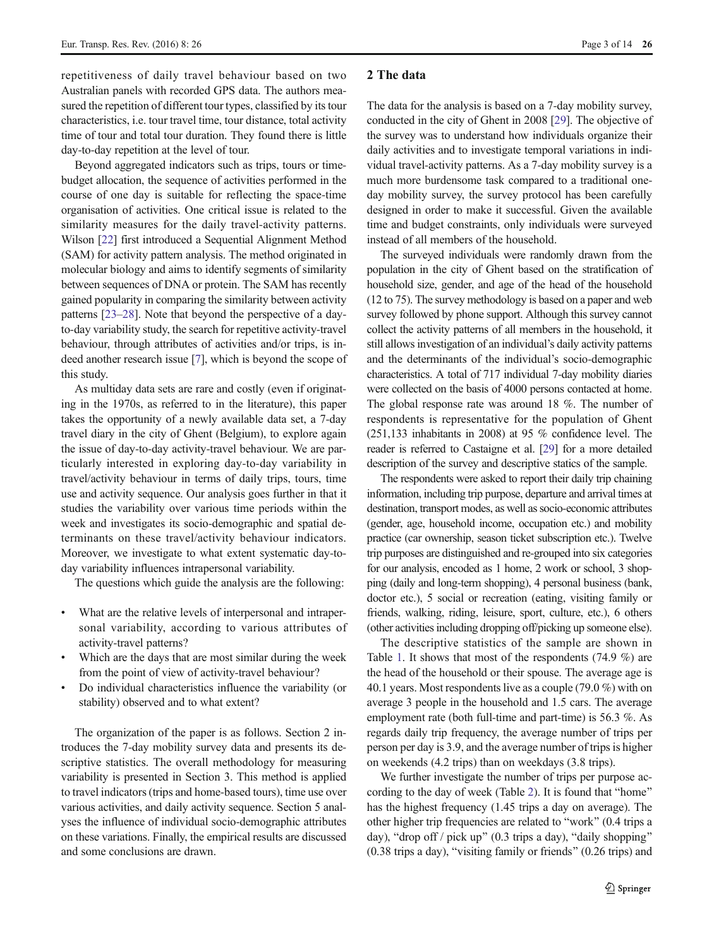repetitiveness of daily travel behaviour based on two Australian panels with recorded GPS data. The authors measured the repetition of different tour types, classified by its tour characteristics, i.e. tour travel time, tour distance, total activity time of tour and total tour duration. They found there is little day-to-day repetition at the level of tour.

Beyond aggregated indicators such as trips, tours or timebudget allocation, the sequence of activities performed in the course of one day is suitable for reflecting the space-time organisation of activities. One critical issue is related to the similarity measures for the daily travel-activity patterns. Wilson [[22\]](#page-13-0) first introduced a Sequential Alignment Method (SAM) for activity pattern analysis. The method originated in molecular biology and aims to identify segments of similarity between sequences of DNA or protein. The SAM has recently gained popularity in comparing the similarity between activity patterns [[23](#page-13-0)–[28](#page-13-0)]. Note that beyond the perspective of a dayto-day variability study, the search for repetitive activity-travel behaviour, through attributes of activities and/or trips, is indeed another research issue [[7\]](#page-13-0), which is beyond the scope of this study.

As multiday data sets are rare and costly (even if originating in the 1970s, as referred to in the literature), this paper takes the opportunity of a newly available data set, a 7-day travel diary in the city of Ghent (Belgium), to explore again the issue of day-to-day activity-travel behaviour. We are particularly interested in exploring day-to-day variability in travel/activity behaviour in terms of daily trips, tours, time use and activity sequence. Our analysis goes further in that it studies the variability over various time periods within the week and investigates its socio-demographic and spatial determinants on these travel/activity behaviour indicators. Moreover, we investigate to what extent systematic day-today variability influences intrapersonal variability.

The questions which guide the analysis are the following:

- What are the relative levels of interpersonal and intrapersonal variability, according to various attributes of activity-travel patterns?
- Which are the days that are most similar during the week from the point of view of activity-travel behaviour?
- & Do individual characteristics influence the variability (or stability) observed and to what extent?

The organization of the paper is as follows. Section 2 introduces the 7-day mobility survey data and presents its descriptive statistics. The overall methodology for measuring variability is presented in Section 3. This method is applied to travel indicators (trips and home-based tours), time use over various activities, and daily activity sequence. Section 5 analyses the influence of individual socio-demographic attributes on these variations. Finally, the empirical results are discussed and some conclusions are drawn.

#### 2 The data

The data for the analysis is based on a 7-day mobility survey, conducted in the city of Ghent in 2008 [[29](#page-13-0)]. The objective of the survey was to understand how individuals organize their daily activities and to investigate temporal variations in individual travel-activity patterns. As a 7-day mobility survey is a much more burdensome task compared to a traditional oneday mobility survey, the survey protocol has been carefully designed in order to make it successful. Given the available time and budget constraints, only individuals were surveyed instead of all members of the household.

The surveyed individuals were randomly drawn from the population in the city of Ghent based on the stratification of household size, gender, and age of the head of the household (12 to 75). The survey methodology is based on a paper and web survey followed by phone support. Although this survey cannot collect the activity patterns of all members in the household, it still allows investigation of an individual's daily activity patterns and the determinants of the individual's socio-demographic characteristics. A total of 717 individual 7-day mobility diaries were collected on the basis of 4000 persons contacted at home. The global response rate was around 18 %. The number of respondents is representative for the population of Ghent (251,133 inhabitants in 2008) at 95 % confidence level. The reader is referred to Castaigne et al. [\[29\]](#page-13-0) for a more detailed description of the survey and descriptive statics of the sample.

The respondents were asked to report their daily trip chaining information, including trip purpose, departure and arrival times at destination, transport modes, as well as socio-economic attributes (gender, age, household income, occupation etc.) and mobility practice (car ownership, season ticket subscription etc.). Twelve trip purposes are distinguished and re-grouped into six categories for our analysis, encoded as 1 home, 2 work or school, 3 shopping (daily and long-term shopping), 4 personal business (bank, doctor etc.), 5 social or recreation (eating, visiting family or friends, walking, riding, leisure, sport, culture, etc.), 6 others (other activities including dropping off/picking up someone else).

The descriptive statistics of the sample are shown in Table [1.](#page-3-0) It shows that most of the respondents (74.9 %) are the head of the household or their spouse. The average age is 40.1 years. Most respondents live as a couple (79.0 %) with on average 3 people in the household and 1.5 cars. The average employment rate (both full-time and part-time) is 56.3 %. As regards daily trip frequency, the average number of trips per person per day is 3.9, and the average number of trips is higher on weekends (4.2 trips) than on weekdays (3.8 trips).

We further investigate the number of trips per purpose ac-cording to the day of week (Table [2](#page-4-0)). It is found that "home" has the highest frequency (1.45 trips a day on average). The other higher trip frequencies are related to "work" (0.4 trips a day), "drop off / pick up" (0.3 trips a day), "daily shopping"  $(0.38 \text{ trips a day})$ , "visiting family or friends"  $(0.26 \text{ trips})$  and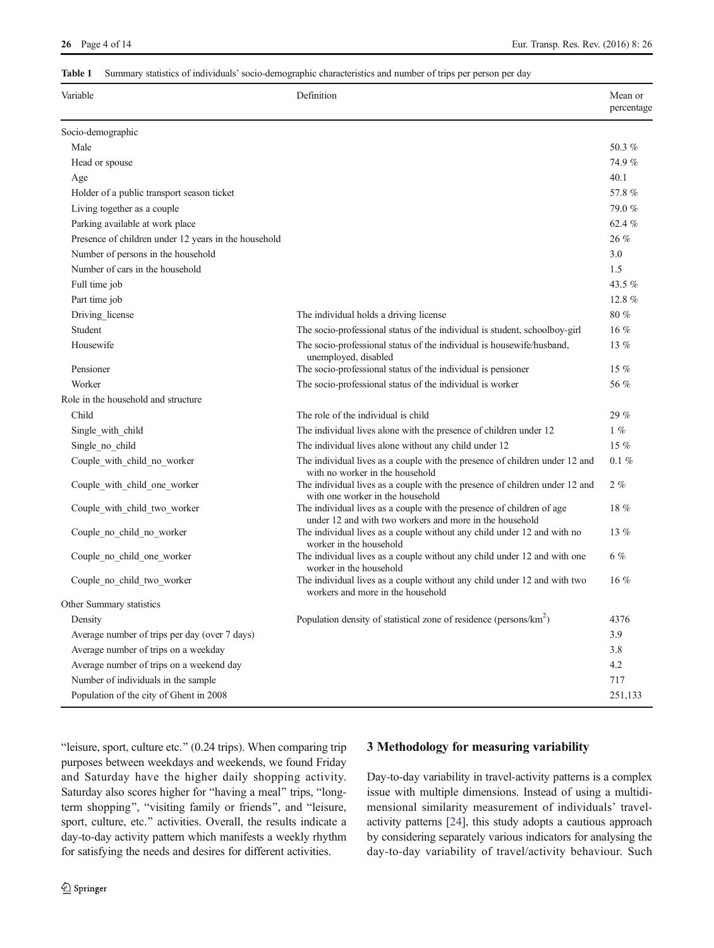#### <span id="page-3-0"></span>Table 1 Summary statistics of individuals' socio-demographic characteristics and number of trips per person per day

| Variable                                             | Definition                                                                                                                       | Mean or<br>percentage |
|------------------------------------------------------|----------------------------------------------------------------------------------------------------------------------------------|-----------------------|
| Socio-demographic                                    |                                                                                                                                  |                       |
| Male                                                 |                                                                                                                                  | 50.3%                 |
| Head or spouse                                       |                                                                                                                                  | 74.9%                 |
| Age                                                  |                                                                                                                                  | 40.1                  |
| Holder of a public transport season ticket           |                                                                                                                                  | 57.8%                 |
| Living together as a couple                          |                                                                                                                                  | 79.0%                 |
| Parking available at work place                      |                                                                                                                                  | 62.4%                 |
| Presence of children under 12 years in the household |                                                                                                                                  | 26%                   |
| Number of persons in the household                   |                                                                                                                                  | 3.0                   |
| Number of cars in the household                      |                                                                                                                                  | 1.5                   |
| Full time job                                        |                                                                                                                                  | 43.5 %                |
| Part time job                                        |                                                                                                                                  | 12.8 $%$              |
| Driving license                                      | The individual holds a driving license                                                                                           | 80%                   |
| Student                                              | The socio-professional status of the individual is student, schoolboy-girl                                                       | 16%                   |
| Housewife                                            | The socio-professional status of the individual is housewife/husband,<br>unemployed, disabled                                    | $13\%$                |
| Pensioner                                            | The socio-professional status of the individual is pensioner                                                                     | $15\%$                |
| Worker                                               | The socio-professional status of the individual is worker                                                                        | 56 %                  |
| Role in the household and structure                  |                                                                                                                                  |                       |
| Child                                                | The role of the individual is child                                                                                              | 29 %                  |
| Single with child                                    | The individual lives alone with the presence of children under 12                                                                | $1\%$                 |
| Single no child                                      | The individual lives alone without any child under 12                                                                            | $15\%$                |
| Couple with child no worker                          | The individual lives as a couple with the presence of children under 12 and<br>with no worker in the household                   | $0.1 \%$              |
| Couple with child one worker                         | The individual lives as a couple with the presence of children under 12 and<br>with one worker in the household                  | 2%                    |
| Couple with child two worker                         | The individual lives as a couple with the presence of children of age<br>under 12 and with two workers and more in the household | 18%                   |
| Couple no child no worker                            | The individual lives as a couple without any child under 12 and with no<br>worker in the household                               | $13\%$                |
| Couple no child one worker                           | The individual lives as a couple without any child under 12 and with one<br>worker in the household                              | $6\%$                 |
| Couple no child two worker                           | The individual lives as a couple without any child under 12 and with two<br>workers and more in the household                    | 16%                   |
| Other Summary statistics                             |                                                                                                                                  |                       |
| Density                                              | Population density of statistical zone of residence (persons/ $km2$ )                                                            | 4376                  |
| Average number of trips per day (over 7 days)        |                                                                                                                                  | 3.9                   |
| Average number of trips on a weekday                 |                                                                                                                                  | 3.8                   |
| Average number of trips on a weekend day             |                                                                                                                                  | 4.2                   |
| Number of individuals in the sample                  |                                                                                                                                  | 717                   |
| Population of the city of Ghent in 2008              |                                                                                                                                  | 251,133               |

"leisure, sport, culture etc." (0.24 trips). When comparing trip purposes between weekdays and weekends, we found Friday and Saturday have the higher daily shopping activity. Saturday also scores higher for "having a meal" trips, "longterm shopping", "visiting family or friends", and "leisure, sport, culture, etc." activities. Overall, the results indicate a day-to-day activity pattern which manifests a weekly rhythm for satisfying the needs and desires for different activities.

## 3 Methodology for measuring variability

Day-to-day variability in travel-activity patterns is a complex issue with multiple dimensions. Instead of using a multidimensional similarity measurement of individuals' travelactivity patterns [\[24](#page-13-0)], this study adopts a cautious approach by considering separately various indicators for analysing the day-to-day variability of travel/activity behaviour. Such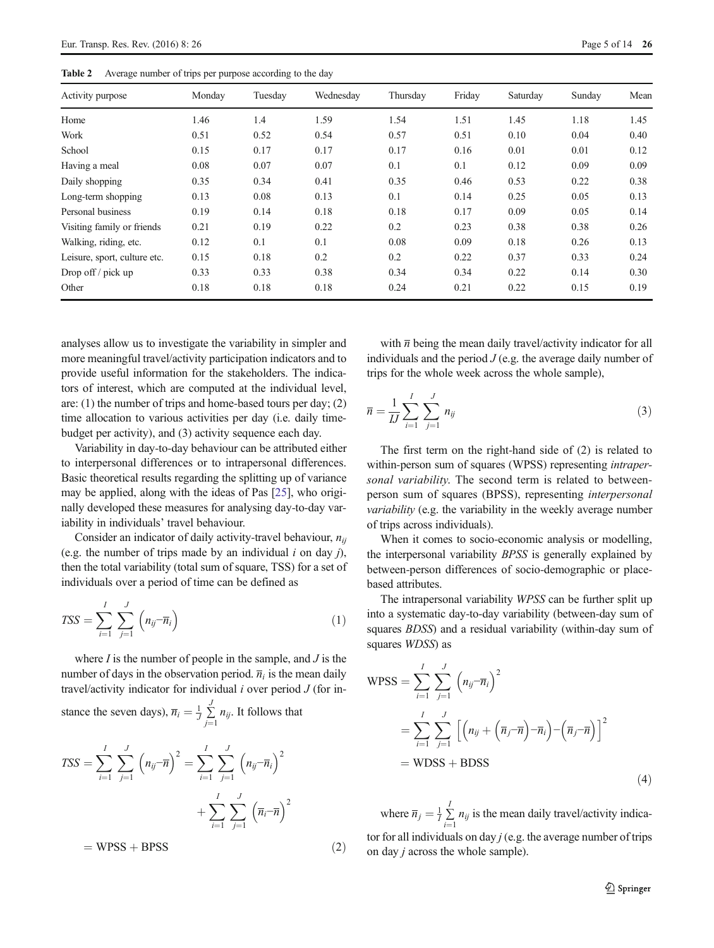<span id="page-4-0"></span>Table 2 Average number of trips per purpose according to the day

| Activity purpose             | Monday | Tuesday | Wednesday | Thursday | Friday | Saturday | Sunday | Mean |
|------------------------------|--------|---------|-----------|----------|--------|----------|--------|------|
| Home                         | 1.46   | 1.4     | 1.59      | 1.54     | 1.51   | 1.45     | 1.18   | 1.45 |
| Work                         | 0.51   | 0.52    | 0.54      | 0.57     | 0.51   | 0.10     | 0.04   | 0.40 |
| School                       | 0.15   | 0.17    | 0.17      | 0.17     | 0.16   | 0.01     | 0.01   | 0.12 |
| Having a meal                | 0.08   | 0.07    | 0.07      | 0.1      | 0.1    | 0.12     | 0.09   | 0.09 |
| Daily shopping               | 0.35   | 0.34    | 0.41      | 0.35     | 0.46   | 0.53     | 0.22   | 0.38 |
| Long-term shopping           | 0.13   | 0.08    | 0.13      | 0.1      | 0.14   | 0.25     | 0.05   | 0.13 |
| Personal business            | 0.19   | 0.14    | 0.18      | 0.18     | 0.17   | 0.09     | 0.05   | 0.14 |
| Visiting family or friends   | 0.21   | 0.19    | 0.22      | 0.2      | 0.23   | 0.38     | 0.38   | 0.26 |
| Walking, riding, etc.        | 0.12   | 0.1     | 0.1       | 0.08     | 0.09   | 0.18     | 0.26   | 0.13 |
| Leisure, sport, culture etc. | 0.15   | 0.18    | 0.2       | 0.2      | 0.22   | 0.37     | 0.33   | 0.24 |
| Drop off / pick up           | 0.33   | 0.33    | 0.38      | 0.34     | 0.34   | 0.22     | 0.14   | 0.30 |
| Other                        | 0.18   | 0.18    | 0.18      | 0.24     | 0.21   | 0.22     | 0.15   | 0.19 |

analyses allow us to investigate the variability in simpler and more meaningful travel/activity participation indicators and to provide useful information for the stakeholders. The indicators of interest, which are computed at the individual level, are: (1) the number of trips and home-based tours per day; (2) time allocation to various activities per day (i.e. daily timebudget per activity), and (3) activity sequence each day.

Variability in day-to-day behaviour can be attributed either to interpersonal differences or to intrapersonal differences. Basic theoretical results regarding the splitting up of variance may be applied, along with the ideas of Pas [[25](#page-13-0)], who originally developed these measures for analysing day-to-day variability in individuals' travel behaviour.

Consider an indicator of daily activity-travel behaviour,  $n_{ii}$ (e.g. the number of trips made by an individual  $i$  on day  $j$ ), then the total variability (total sum of square, TSS) for a set of individuals over a period of time can be defined as

$$
TSS = \sum_{i=1}^{I} \sum_{j=1}^{J} \left( n_{ij} - \overline{n}_i \right) \tag{1}
$$

where  $I$  is the number of people in the sample, and  $J$  is the number of days in the observation period.  $\overline{n_i}$  is the mean daily travel/activity indicator for individual  $i$  over period  $J$  (for in-

stance the seven days),  $\overline{n}_i = \frac{1}{J} \sum_{i=1}^{J}$  $\sum_{j=1}$  $n_{ij}$ . It follows that

$$
TSS = \sum_{i=1}^{I} \sum_{j=1}^{J} (n_{ij} - \overline{n})^2 = \sum_{i=1}^{I} \sum_{j=1}^{J} (n_{ij} - \overline{n}_i)^2 + \sum_{i=1}^{I} \sum_{j=1}^{J} (\overline{n}_i - \overline{n})^2
$$
  
= WPSS + BPSS (2)

with  $\overline{n}$  being the mean daily travel/activity indicator for all individuals and the period  $J$  (e.g. the average daily number of trips for the whole week across the whole sample),

$$
\overline{n} = \frac{1}{IJ} \sum_{i=1}^{I} \sum_{j=1}^{J} n_{ij}
$$
 (3)

The first term on the right-hand side of (2) is related to within-person sum of squares (WPSS) representing *intraper*sonal variability. The second term is related to betweenperson sum of squares (BPSS), representing interpersonal variability (e.g. the variability in the weekly average number of trips across individuals).

When it comes to socio-economic analysis or modelling, the interpersonal variability BPSS is generally explained by between-person differences of socio-demographic or placebased attributes.

The intrapersonal variability WPSS can be further split up into a systematic day-to-day variability (between-day sum of squares BDSS) and a residual variability (within-day sum of squares WDSS) as

$$
WPSS = \sum_{i=1}^{I} \sum_{j=1}^{J} \left( n_{ij} - \overline{n}_i \right)^2
$$
  
= 
$$
\sum_{i=1}^{I} \sum_{j=1}^{J} \left[ \left( n_{ij} + \left( \overline{n}_j - \overline{n} \right) - \overline{n}_i \right) - \left( \overline{n}_j - \overline{n} \right) \right]^2
$$
  
= WDSS + BDSS (4)

where  $\overline{n}_j = \frac{1}{I} \sum_{i=1}^{I}$  $\sum_{i=1}$  $n_{ij}$  is the mean daily travel/activity indicator for all individuals on day  $j$  (e.g. the average number of trips on day j across the whole sample).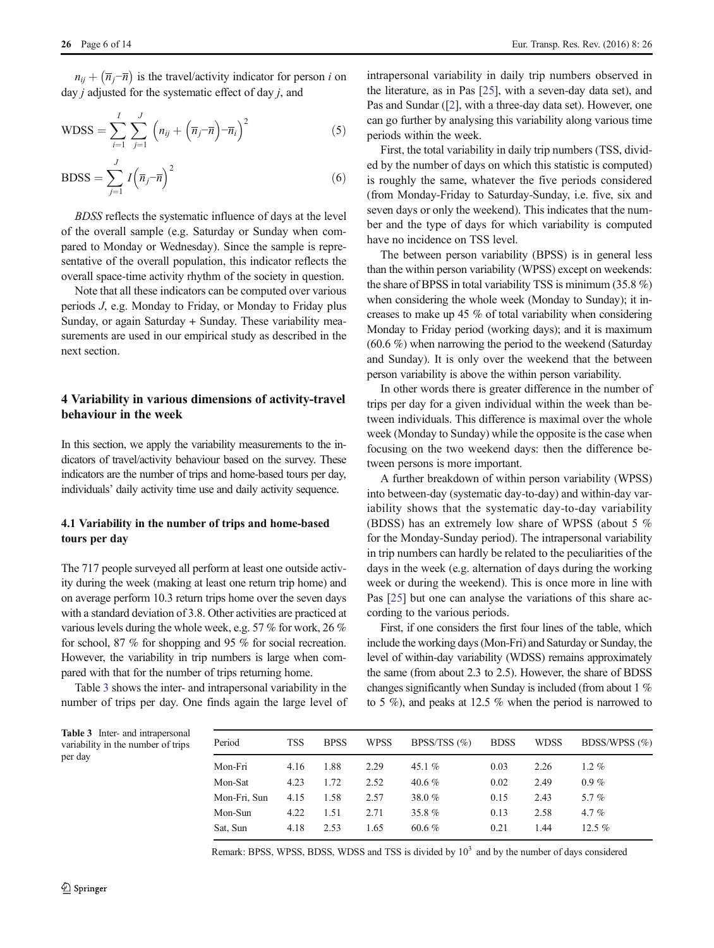$n_{ii} + (\overline{n}_i - \overline{n})$  is the travel/activity indicator for person *i* on day  $j$  adjusted for the systematic effect of day  $j$ , and

$$
WDSS = \sum_{i=1}^{I} \sum_{j=1}^{J} \left( n_{ij} + \left( \overline{n}_j - \overline{n} \right) - \overline{n}_i \right)^2 \tag{5}
$$

$$
BDSS = \sum_{j=1}^{J} I(\overline{n}_j - \overline{n})^2
$$
 (6)

BDSS reflects the systematic influence of days at the level of the overall sample (e.g. Saturday or Sunday when compared to Monday or Wednesday). Since the sample is representative of the overall population, this indicator reflects the overall space-time activity rhythm of the society in question.

Note that all these indicators can be computed over various periods J, e.g. Monday to Friday, or Monday to Friday plus Sunday, or again Saturday + Sunday. These variability measurements are used in our empirical study as described in the next section.

## 4 Variability in various dimensions of activity-travel behaviour in the week

In this section, we apply the variability measurements to the indicators of travel/activity behaviour based on the survey. These indicators are the number of trips and home-based tours per day, individuals' daily activity time use and daily activity sequence.

## 4.1 Variability in the number of trips and home-based tours per day

The 717 people surveyed all perform at least one outside activity during the week (making at least one return trip home) and on average perform 10.3 return trips home over the seven days with a standard deviation of 3.8. Other activities are practiced at various levels during the whole week, e.g. 57 % for work, 26 % for school, 87 % for shopping and 95 % for social recreation. However, the variability in trip numbers is large when compared with that for the number of trips returning home.

Table 3 shows the inter- and intrapersonal variability in the number of trips per day. One finds again the large level of

intrapersonal variability in daily trip numbers observed in the literature, as in Pas [[25](#page-13-0)], with a seven-day data set), and Pas and Sundar ([[2\]](#page-13-0), with a three-day data set). However, one can go further by analysing this variability along various time periods within the week.

First, the total variability in daily trip numbers (TSS, divided by the number of days on which this statistic is computed) is roughly the same, whatever the five periods considered (from Monday-Friday to Saturday-Sunday, i.e. five, six and seven days or only the weekend). This indicates that the number and the type of days for which variability is computed have no incidence on TSS level.

The between person variability (BPSS) is in general less than the within person variability (WPSS) except on weekends: the share of BPSS in total variability TSS is minimum (35.8 %) when considering the whole week (Monday to Sunday); it increases to make up 45 % of total variability when considering Monday to Friday period (working days); and it is maximum (60.6 %) when narrowing the period to the weekend (Saturday and Sunday). It is only over the weekend that the between person variability is above the within person variability.

In other words there is greater difference in the number of trips per day for a given individual within the week than between individuals. This difference is maximal over the whole week (Monday to Sunday) while the opposite is the case when focusing on the two weekend days: then the difference between persons is more important.

A further breakdown of within person variability (WPSS) into between-day (systematic day-to-day) and within-day variability shows that the systematic day-to-day variability (BDSS) has an extremely low share of WPSS (about 5 % for the Monday-Sunday period). The intrapersonal variability in trip numbers can hardly be related to the peculiarities of the days in the week (e.g. alternation of days during the working week or during the weekend). This is once more in line with Pas [\[25\]](#page-13-0) but one can analyse the variations of this share according to the various periods.

First, if one considers the first four lines of the table, which include the working days (Mon-Fri) and Saturday or Sunday, the level of within-day variability (WDSS) remains approximately the same (from about 2.3 to 2.5). However, the share of BDSS changes significantly when Sunday is included (from about 1 % to 5 %), and peaks at 12.5 % when the period is narrowed to

Table 3 Inter- and intrapersonal variability in the number of trips per day

| Period       | <b>TSS</b> | <b>BPSS</b> | <b>WPSS</b> | BPSS/TSS $(\%)$ | <b>BDSS</b> | <b>WDSS</b> | BDSS/WPSS $(\%)$ |
|--------------|------------|-------------|-------------|-----------------|-------------|-------------|------------------|
| Mon-Fri      | 4.16       | 1.88        | 2.29        | 45.1 $%$        | 0.03        | 2.26        | $1.2\%$          |
| Mon-Sat      | 4.23       | 1.72        | 2.52        | 40.6 $%$        | 0.02        | 2.49        | $0.9\%$          |
| Mon-Fri, Sun | 4.15       | 1.58        | 2.57        | 38.0 $%$        | 0.15        | 2.43        | 5.7 $%$          |
| Mon-Sun      | 4.22       | 1.51        | 2.71        | 35.8 $%$        | 0.13        | 2.58        | 4.7 $%$          |
| Sat, Sun     | 4.18       | 2.53        | 1.65        | 60.6 $%$        | 0.21        | 1.44        | 12.5 $%$         |
|              |            |             |             |                 |             |             |                  |

Remark: BPSS, WPSS, BDSS, WDSS and TSS is divided by  $10<sup>3</sup>$  and by the number of days considered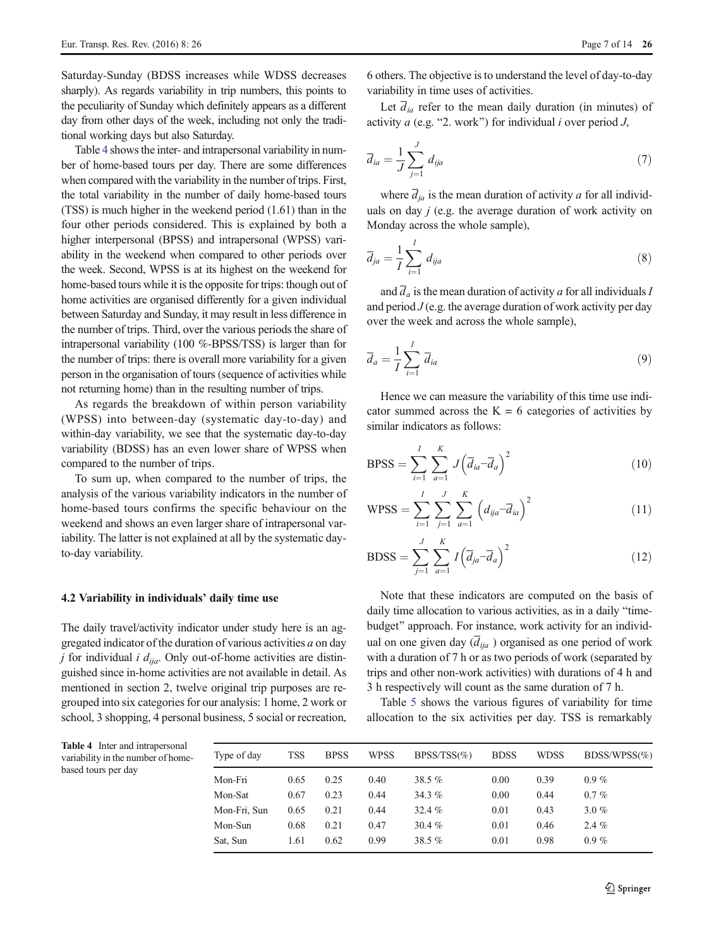Saturday-Sunday (BDSS increases while WDSS decreases sharply). As regards variability in trip numbers, this points to the peculiarity of Sunday which definitely appears as a different day from other days of the week, including not only the traditional working days but also Saturday.

Table 4 shows the inter- and intrapersonal variability in number of home-based tours per day. There are some differences when compared with the variability in the number of trips. First, the total variability in the number of daily home-based tours (TSS) is much higher in the weekend period (1.61) than in the four other periods considered. This is explained by both a higher interpersonal (BPSS) and intrapersonal (WPSS) variability in the weekend when compared to other periods over the week. Second, WPSS is at its highest on the weekend for home-based tours while it is the opposite for trips: though out of home activities are organised differently for a given individual between Saturday and Sunday, it may result in less difference in the number of trips. Third, over the various periods the share of intrapersonal variability (100 %-BPSS/TSS) is larger than for the number of trips: there is overall more variability for a given person in the organisation of tours (sequence of activities while not returning home) than in the resulting number of trips.

As regards the breakdown of within person variability (WPSS) into between-day (systematic day-to-day) and within-day variability, we see that the systematic day-to-day variability (BDSS) has an even lower share of WPSS when compared to the number of trips.

To sum up, when compared to the number of trips, the analysis of the various variability indicators in the number of home-based tours confirms the specific behaviour on the weekend and shows an even larger share of intrapersonal variability. The latter is not explained at all by the systematic dayto-day variability.

#### 4.2 Variability in individuals' daily time use

The daily travel/activity indicator under study here is an aggregated indicator of the duration of various activities a on day j for individual i  $d_{ija}$ . Only out-of-home activities are distinguished since in-home activities are not available in detail. As mentioned in section 2, twelve original trip purposes are regrouped into six categories for our analysis: 1 home, 2 work or school, 3 shopping, 4 personal business, 5 social or recreation,

6 others. The objective is to understand the level of day-to-day variability in time uses of activities.

Let  $\overline{d}_{ia}$  refer to the mean daily duration (in minutes) of activity a (e.g. "2. work") for individual i over period  $J$ ,

$$
\overline{d}_{ia} = \frac{1}{J} \sum_{j=1}^{J} d_{ija} \tag{7}
$$

where  $\overline{d}_{ja}$  is the mean duration of activity a for all individuals on day  $j$  (e.g. the average duration of work activity on Monday across the whole sample),

$$
\overline{d}_{ja} = \frac{1}{I} \sum_{i=1}^{I} d_{ija} \tag{8}
$$

and  $\overline{d}_a$  is the mean duration of activity a for all individuals I and period  $J$  (e.g. the average duration of work activity per day over the week and across the whole sample),

$$
\overline{d}_a = \frac{1}{I} \sum_{i=1}^I \overline{d}_{ia} \tag{9}
$$

Hence we can measure the variability of this time use indicator summed across the  $K = 6$  categories of activities by similar indicators as follows:

$$
BPSS = \sum_{i=1}^{I} \sum_{a=1}^{K} J\left(\overline{d}_{ia} - \overline{d}_{a}\right)^{2}
$$
 (10)

$$
WPSS = \sum_{i=1}^{I} \sum_{j=1}^{J} \sum_{a=1}^{K} (d_{ija} - \overline{d}_{ia})^2
$$
 (11)

$$
BDSS = \sum_{j=1}^{J} \sum_{a=1}^{K} I \left( \overline{d}_{ja} - \overline{d}_{a} \right)^{2}
$$
 (12)

Note that these indicators are computed on the basis of daily time allocation to various activities, as in a daily "timebudget" approach. For instance, work activity for an individual on one given day  $(\overline{d}_{iia})$  organised as one period of work with a duration of 7 h or as two periods of work (separated by trips and other non-work activities) with durations of 4 h and 3 h respectively will count as the same duration of 7 h.

Table [5](#page-7-0) shows the various figures of variability for time allocation to the six activities per day. TSS is remarkably

Table 4 Inter and intrapersonal variability in the number of homebased tours per day

| Type of day  | TSS  | <b>BPSS</b> | <b>WPSS</b> | $BPSS/TSS(\%)$ | <b>BDSS</b> | <b>WDSS</b> | $BDSS/WPSS(\%)$ |
|--------------|------|-------------|-------------|----------------|-------------|-------------|-----------------|
| Mon-Fri      | 0.65 | 0.25        | 0.40        | $38.5\%$       | 0.00        | 0.39        | $0.9\%$         |
| Mon-Sat      | 0.67 | 0.23        | 0.44        | $34.3\%$       | 0.00        | 0.44        | $0.7\%$         |
| Mon-Fri. Sun | 0.65 | 0.21        | 0.44        | 32.4%          | 0.01        | 0.43        | $3.0 \%$        |
| Mon-Sun      | 0.68 | 0.21        | 0.47        | $30.4\%$       | 0.01        | 0.46        | $2.4\%$         |
| Sat. Sun     | 1.61 | 0.62        | 0.99        | 38.5%          | 0.01        | 0.98        | $0.9\%$         |
|              |      |             |             |                |             |             |                 |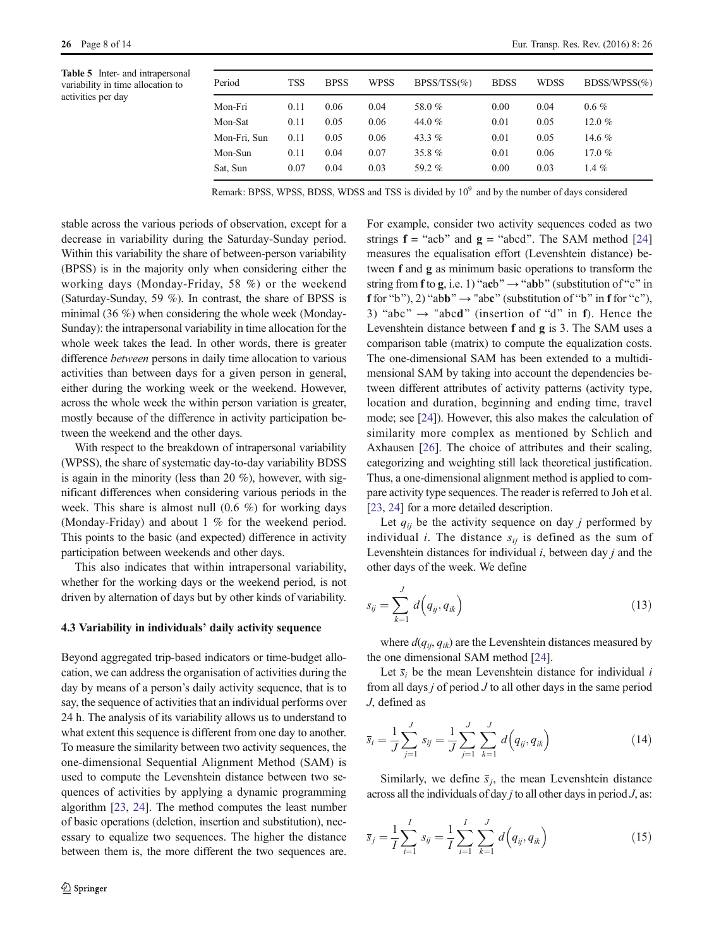<span id="page-7-0"></span>Table 5 Inter- and intrapersonal variability in time allocation to activities per day

| Period       | <b>TSS</b> | <b>BPSS</b> | <b>WPSS</b> | $BPSS/TSS(\%)$ | <b>BDSS</b> | <b>WDSS</b> | $BDSS/WPSS(\%)$ |
|--------------|------------|-------------|-------------|----------------|-------------|-------------|-----------------|
| Mon-Fri      | 0.11       | 0.06        | 0.04        | 58.0%          | 0.00        | 0.04        | $0.6\%$         |
| Mon-Sat      | 0.11       | 0.05        | 0.06        | 44.0 $%$       | 0.01        | 0.05        | 12.0 $%$        |
| Mon-Fri, Sun | 0.11       | 0.05        | 0.06        | 43.3 $%$       | 0.01        | 0.05        | 14.6 $%$        |
| Mon-Sun      | 0.11       | 0.04        | 0.07        | 35.8%          | 0.01        | 0.06        | 17.0 $%$        |
| Sat, Sun     | 0.07       | 0.04        | 0.03        | 59.2%          | 0.00        | 0.03        | 1.4 $%$         |

Remark: BPSS, WPSS, BDSS, WDSS and TSS is divided by  $10<sup>9</sup>$  and by the number of days considered

stable across the various periods of observation, except for a decrease in variability during the Saturday-Sunday period. Within this variability the share of between-person variability (BPSS) is in the majority only when considering either the working days (Monday-Friday, 58 %) or the weekend (Saturday-Sunday, 59 %). In contrast, the share of BPSS is minimal (36 %) when considering the whole week (Monday-Sunday): the intrapersonal variability in time allocation for the whole week takes the lead. In other words, there is greater difference between persons in daily time allocation to various activities than between days for a given person in general, either during the working week or the weekend. However, across the whole week the within person variation is greater, mostly because of the difference in activity participation between the weekend and the other days.

With respect to the breakdown of intrapersonal variability (WPSS), the share of systematic day-to-day variability BDSS is again in the minority (less than 20 %), however, with significant differences when considering various periods in the week. This share is almost null (0.6 %) for working days (Monday-Friday) and about 1 % for the weekend period. This points to the basic (and expected) difference in activity participation between weekends and other days.

This also indicates that within intrapersonal variability, whether for the working days or the weekend period, is not driven by alternation of days but by other kinds of variability.

#### 4.3 Variability in individuals' daily activity sequence

Beyond aggregated trip-based indicators or time-budget allocation, we can address the organisation of activities during the day by means of a person's daily activity sequence, that is to say, the sequence of activities that an individual performs over 24 h. The analysis of its variability allows us to understand to what extent this sequence is different from one day to another. To measure the similarity between two activity sequences, the one-dimensional Sequential Alignment Method (SAM) is used to compute the Levenshtein distance between two sequences of activities by applying a dynamic programming algorithm [\[23](#page-13-0), [24](#page-13-0)]. The method computes the least number of basic operations (deletion, insertion and substitution), necessary to equalize two sequences. The higher the distance between them is, the more different the two sequences are.

For example, consider two activity sequences coded as two strings  $f =$  "acb" and  $g =$  "abcd". The SAM method [\[24](#page-13-0)] measures the equalisation effort (Levenshtein distance) between f and g as minimum basic operations to transform the string from f to g, i.e. 1) "acb"  $\rightarrow$  "abb" (substitution of "c" in f for "b"), 2) "abb"  $\rightarrow$  "abc" (substitution of "b" in f for "c"), 3) "abc"  $\rightarrow$  "abcd" (insertion of "d" in f). Hence the Levenshtein distance between f and g is 3. The SAM uses a comparison table (matrix) to compute the equalization costs. The one-dimensional SAM has been extended to a multidimensional SAM by taking into account the dependencies between different attributes of activity patterns (activity type, location and duration, beginning and ending time, travel mode; see [[24](#page-13-0)]). However, this also makes the calculation of similarity more complex as mentioned by Schlich and Axhausen [[26\]](#page-13-0). The choice of attributes and their scaling, categorizing and weighting still lack theoretical justification. Thus, a one-dimensional alignment method is applied to compare activity type sequences. The reader is referred to Joh et al. [\[23](#page-13-0), [24\]](#page-13-0) for a more detailed description.

Let  $q_{ij}$  be the activity sequence on day j performed by individual *i*. The distance  $s_{ij}$  is defined as the sum of Levenshtein distances for individual  $i$ , between day  $j$  and the other days of the week. We define

$$
s_{ij} = \sum_{k=1}^{J} d\left(q_{ij}, q_{ik}\right) \tag{13}
$$

where  $d(q_{ij}, q_{ik})$  are the Levenshtein distances measured by the one dimensional SAM method [\[24\]](#page-13-0).

Let  $\overline{s_i}$  be the mean Levenshtein distance for individual i from all days  $j$  of period  $J$  to all other days in the same period J, defined as

$$
\bar{s}_i = \frac{1}{J} \sum_{j=1}^{J} s_{ij} = \frac{1}{J} \sum_{j=1}^{J} \sum_{k=1}^{J} d(q_{ij}, q_{ik})
$$
(14)

Similarly, we define  $\bar{s}_i$ , the mean Levenshtein distance across all the individuals of day  $j$  to all other days in period  $J$ , as:

$$
\overline{s}_{j} = \frac{1}{I} \sum_{i=1}^{I} s_{ij} = \frac{1}{I} \sum_{i=1}^{I} \sum_{k=1}^{J} d(q_{ij}, q_{ik})
$$
(15)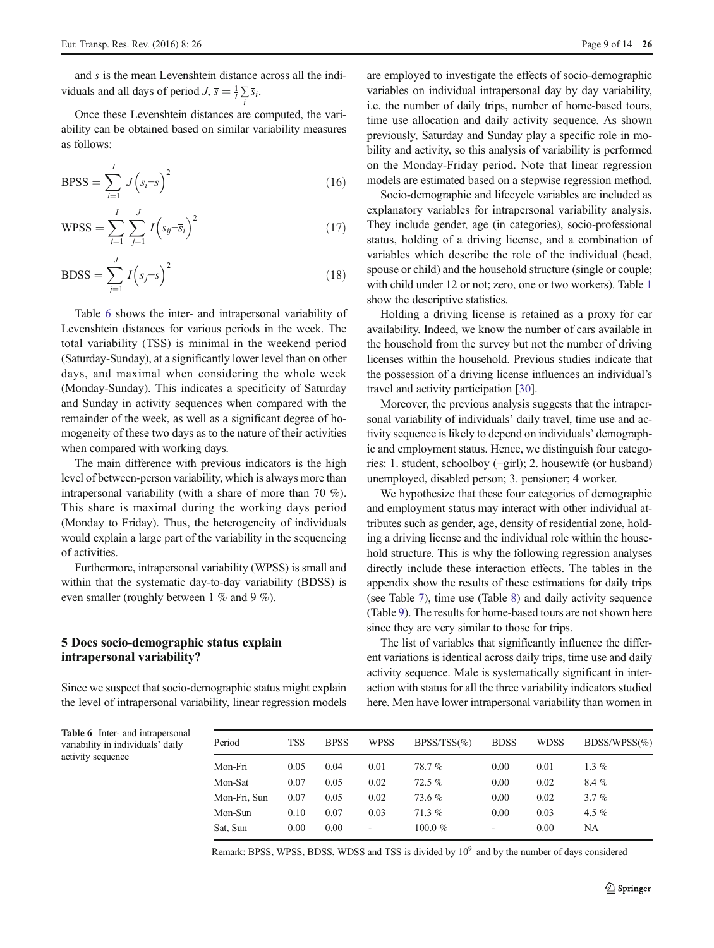and  $\overline{s}$  is the mean Levenshtein distance across all the individuals and all days of period  $J$ ,  $\bar{s} = \frac{1}{I} \sum_{i} \bar{s}_i$ .

Once these Levenshtein distances are computed, the variability can be obtained based on similar variability measures as follows:

$$
BPSS = \sum_{i=1}^{I} J\left(\overline{s}_i - \overline{s}\right)^2 \tag{16}
$$

WPSS = 
$$
\sum_{i=1}^{I} \sum_{j=1}^{J} I(s_{ij} - \overline{s}_i)^2
$$
 (17)

$$
BDSS = \sum_{j=1}^{J} I\left(\overline{s}_j - \overline{s}\right)^2 \tag{18}
$$

Table 6 shows the inter- and intrapersonal variability of Levenshtein distances for various periods in the week. The total variability (TSS) is minimal in the weekend period (Saturday-Sunday), at a significantly lower level than on other days, and maximal when considering the whole week (Monday-Sunday). This indicates a specificity of Saturday and Sunday in activity sequences when compared with the remainder of the week, as well as a significant degree of homogeneity of these two days as to the nature of their activities when compared with working days.

The main difference with previous indicators is the high level of between-person variability, which is always more than intrapersonal variability (with a share of more than 70 %). This share is maximal during the working days period (Monday to Friday). Thus, the heterogeneity of individuals would explain a large part of the variability in the sequencing of activities.

Furthermore, intrapersonal variability (WPSS) is small and within that the systematic day-to-day variability (BDSS) is even smaller (roughly between 1 % and 9 %).

## 5 Does socio-demographic status explain intrapersonal variability?

Since we suspect that socio-demographic status might explain the level of intrapersonal variability, linear regression models are employed to investigate the effects of socio-demographic variables on individual intrapersonal day by day variability, i.e. the number of daily trips, number of home-based tours, time use allocation and daily activity sequence. As shown previously, Saturday and Sunday play a specific role in mobility and activity, so this analysis of variability is performed on the Monday-Friday period. Note that linear regression models are estimated based on a stepwise regression method.

Socio-demographic and lifecycle variables are included as explanatory variables for intrapersonal variability analysis. They include gender, age (in categories), socio-professional status, holding of a driving license, and a combination of variables which describe the role of the individual (head, spouse or child) and the household structure (single or couple; with child under 12 or not; zero, one or two workers). Table [1](#page-3-0) show the descriptive statistics.

Holding a driving license is retained as a proxy for car availability. Indeed, we know the number of cars available in the household from the survey but not the number of driving licenses within the household. Previous studies indicate that the possession of a driving license influences an individual's travel and activity participation [\[30\]](#page-13-0).

Moreover, the previous analysis suggests that the intrapersonal variability of individuals' daily travel, time use and activity sequence is likely to depend on individuals' demographic and employment status. Hence, we distinguish four categories: 1. student, schoolboy (−girl); 2. housewife (or husband) unemployed, disabled person; 3. pensioner; 4 worker.

We hypothesize that these four categories of demographic and employment status may interact with other individual attributes such as gender, age, density of residential zone, holding a driving license and the individual role within the household structure. This is why the following regression analyses directly include these interaction effects. The tables in the appendix show the results of these estimations for daily trips (see Table [7\)](#page-10-0), time use (Table [8](#page-11-0)) and daily activity sequence (Table [9](#page-12-0)). The results for home-based tours are not shown here since they are very similar to those for trips.

The list of variables that significantly influence the different variations is identical across daily trips, time use and daily activity sequence. Male is systematically significant in interaction with status for all the three variability indicators studied here. Men have lower intrapersonal variability than women in

Table 6 Inter- and intrapersonal variability in individuals' daily activity sequence

| Period       | TSS  | <b>BPSS</b> | WPSS           | $BPSS/TSS(\%)$ | <b>BDSS</b> | <b>WDSS</b> | $BDSS/WPSS(\%)$ |
|--------------|------|-------------|----------------|----------------|-------------|-------------|-----------------|
| Mon-Fri      | 0.05 | 0.04        | 0.01           | 78.7%          | 0.00        | 0.01        | 1.3 $%$         |
| Mon-Sat      | 0.07 | 0.05        | 0.02           | 72.5%          | 0.00        | 0.02        | 8.4%            |
| Mon-Fri, Sun | 0.07 | 0.05        | 0.02           | $73.6\%$       | 0.00        | 0.02        | $3.7\%$         |
| Mon-Sun      | 0.10 | 0.07        | 0.03           | $71.3\%$       | 0.00        | 0.03        | 4.5 $%$         |
| Sat, Sun     | 0.00 | 0.00        | $\overline{a}$ | $100.0 \%$     | ۰           | 0.00        | NA              |
|              |      |             |                |                |             |             |                 |

Remark: BPSS, WPSS, BDSS, WDSS and TSS is divided by 10<sup>9</sup> and by the number of days considered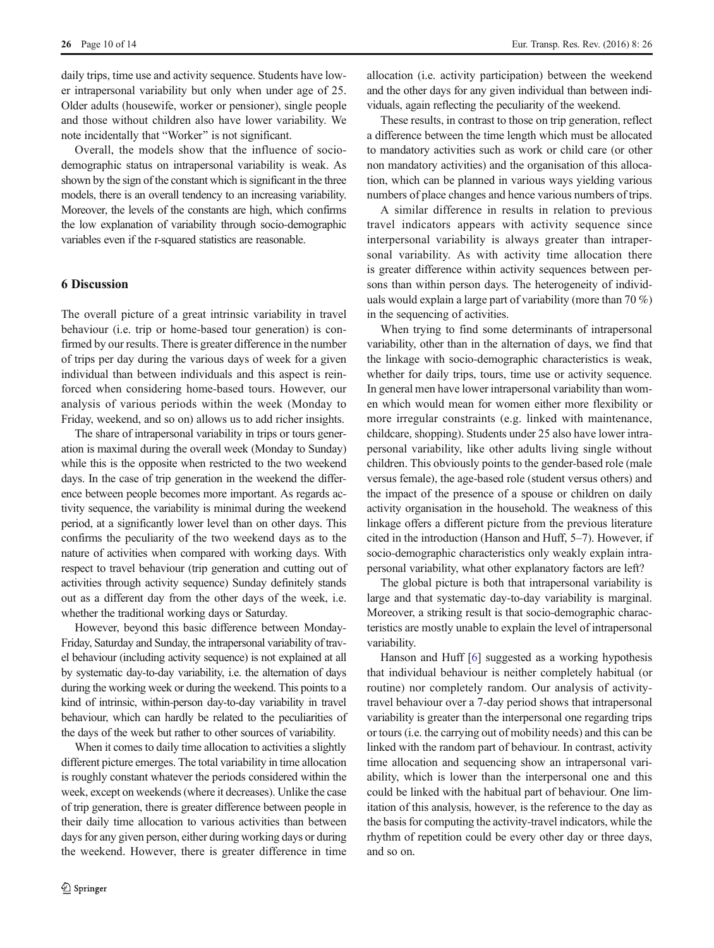daily trips, time use and activity sequence. Students have lower intrapersonal variability but only when under age of 25. Older adults (housewife, worker or pensioner), single people and those without children also have lower variability. We note incidentally that "Worker" is not significant.

Overall, the models show that the influence of sociodemographic status on intrapersonal variability is weak. As shown by the sign of the constant which is significant in the three models, there is an overall tendency to an increasing variability. Moreover, the levels of the constants are high, which confirms the low explanation of variability through socio-demographic variables even if the r-squared statistics are reasonable.

#### 6 Discussion

The overall picture of a great intrinsic variability in travel behaviour (i.e. trip or home-based tour generation) is confirmed by our results. There is greater difference in the number of trips per day during the various days of week for a given individual than between individuals and this aspect is reinforced when considering home-based tours. However, our analysis of various periods within the week (Monday to Friday, weekend, and so on) allows us to add richer insights.

The share of intrapersonal variability in trips or tours generation is maximal during the overall week (Monday to Sunday) while this is the opposite when restricted to the two weekend days. In the case of trip generation in the weekend the difference between people becomes more important. As regards activity sequence, the variability is minimal during the weekend period, at a significantly lower level than on other days. This confirms the peculiarity of the two weekend days as to the nature of activities when compared with working days. With respect to travel behaviour (trip generation and cutting out of activities through activity sequence) Sunday definitely stands out as a different day from the other days of the week, i.e. whether the traditional working days or Saturday.

However, beyond this basic difference between Monday-Friday, Saturday and Sunday, the intrapersonal variability of travel behaviour (including activity sequence) is not explained at all by systematic day-to-day variability, i.e. the alternation of days during the working week or during the weekend. This points to a kind of intrinsic, within-person day-to-day variability in travel behaviour, which can hardly be related to the peculiarities of the days of the week but rather to other sources of variability.

When it comes to daily time allocation to activities a slightly different picture emerges. The total variability in time allocation is roughly constant whatever the periods considered within the week, except on weekends (where it decreases). Unlike the case of trip generation, there is greater difference between people in their daily time allocation to various activities than between days for any given person, either during working days or during the weekend. However, there is greater difference in time

allocation (i.e. activity participation) between the weekend and the other days for any given individual than between individuals, again reflecting the peculiarity of the weekend.

These results, in contrast to those on trip generation, reflect a difference between the time length which must be allocated to mandatory activities such as work or child care (or other non mandatory activities) and the organisation of this allocation, which can be planned in various ways yielding various numbers of place changes and hence various numbers of trips.

A similar difference in results in relation to previous travel indicators appears with activity sequence since interpersonal variability is always greater than intrapersonal variability. As with activity time allocation there is greater difference within activity sequences between persons than within person days. The heterogeneity of individuals would explain a large part of variability (more than 70 %) in the sequencing of activities.

When trying to find some determinants of intrapersonal variability, other than in the alternation of days, we find that the linkage with socio-demographic characteristics is weak, whether for daily trips, tours, time use or activity sequence. In general men have lower intrapersonal variability than women which would mean for women either more flexibility or more irregular constraints (e.g. linked with maintenance, childcare, shopping). Students under 25 also have lower intrapersonal variability, like other adults living single without children. This obviously points to the gender-based role (male versus female), the age-based role (student versus others) and the impact of the presence of a spouse or children on daily activity organisation in the household. The weakness of this linkage offers a different picture from the previous literature cited in the introduction (Hanson and Huff, 5–7). However, if socio-demographic characteristics only weakly explain intrapersonal variability, what other explanatory factors are left?

The global picture is both that intrapersonal variability is large and that systematic day-to-day variability is marginal. Moreover, a striking result is that socio-demographic characteristics are mostly unable to explain the level of intrapersonal variability.

Hanson and Huff [[6](#page-13-0)] suggested as a working hypothesis that individual behaviour is neither completely habitual (or routine) nor completely random. Our analysis of activitytravel behaviour over a 7-day period shows that intrapersonal variability is greater than the interpersonal one regarding trips or tours (i.e. the carrying out of mobility needs) and this can be linked with the random part of behaviour. In contrast, activity time allocation and sequencing show an intrapersonal variability, which is lower than the interpersonal one and this could be linked with the habitual part of behaviour. One limitation of this analysis, however, is the reference to the day as the basis for computing the activity-travel indicators, while the rhythm of repetition could be every other day or three days, and so on.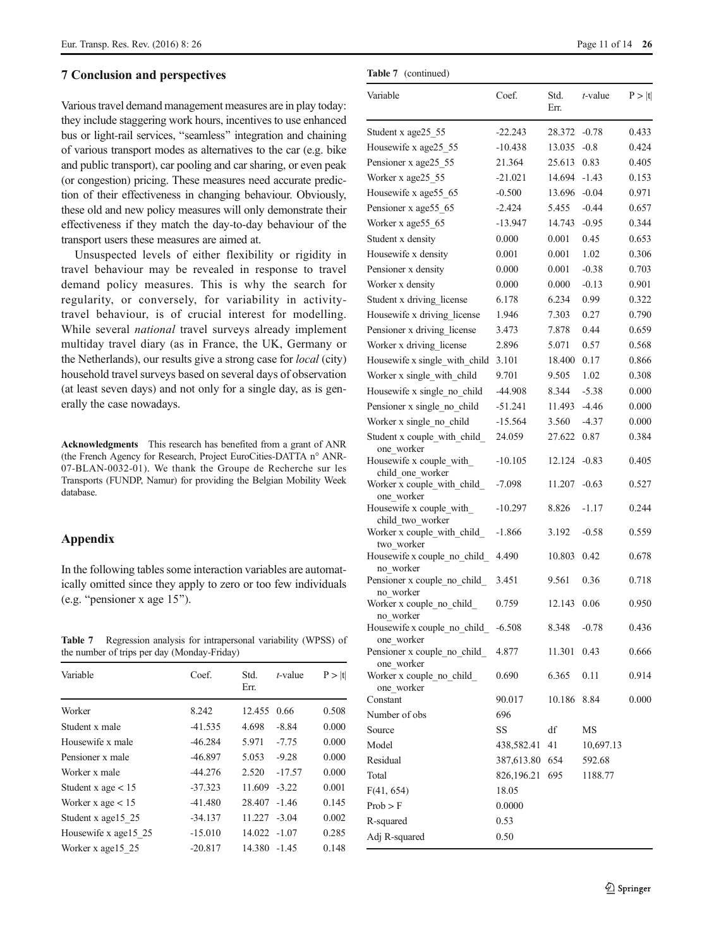#### <span id="page-10-0"></span>7 Conclusion and perspectives

Various travel demand management measures are in play today: they include staggering work hours, incentives to use enhanced bus or light-rail services, "seamless" integration and chaining of various transport modes as alternatives to the car (e.g. bike and public transport), car pooling and car sharing, or even peak (or congestion) pricing. These measures need accurate prediction of their effectiveness in changing behaviour. Obviously, these old and new policy measures will only demonstrate their effectiveness if they match the day-to-day behaviour of the transport users these measures are aimed at.

Unsuspected levels of either flexibility or rigidity in travel behaviour may be revealed in response to travel demand policy measures. This is why the search for regularity, or conversely, for variability in activitytravel behaviour, is of crucial interest for modelling. While several *national* travel surveys already implement multiday travel diary (as in France, the UK, Germany or the Netherlands), our results give a strong case for local (city) household travel surveys based on several days of observation (at least seven days) and not only for a single day, as is generally the case nowadays.

Acknowledgments This research has benefited from a grant of ANR (the French Agency for Research, Project EuroCities-DATTA n° ANR-07-BLAN-0032-01). We thank the Groupe de Recherche sur les Transports (FUNDP, Namur) for providing the Belgian Mobility Week database.

## Appendix

In the following tables some interaction variables are automatically omitted since they apply to zero or too few individuals  $(e.g. "pensioner x age 15").$ 

Table 7 Regression analysis for intrapersonal variability (WPSS) of the number of trips per day (Monday-Friday)

| Variable                    | Coef.     | Std.<br>Err.    | $t$ -value | P >  t |
|-----------------------------|-----------|-----------------|------------|--------|
| Worker                      | 8.242     | 12.455          | 0.66       | 0.508  |
| Student x male              | $-41.535$ | 4.698           | $-8.84$    | 0.000  |
| Housewife x male            | $-46.284$ | 5.971           | $-7.75$    | 0.000  |
| Pensioner x male            | $-46.897$ | 5.053           | $-9.28$    | 0.000  |
| Worker x male               | $-44.276$ | 2.520           | $-17.57$   | 0.000  |
| Student x age $< 15$        | $-37.323$ | 11.609          | $-3.22$    | 0.001  |
| Worker $x \text{ age} < 15$ | $-41.480$ | 28.407 -1.46    |            | 0.145  |
| Student x age15 25          | $-34.137$ | $11.227 - 3.04$ |            | 0.002  |
| Housewife x age15 25        | $-15.010$ | $14.022 - 1.07$ |            | 0.285  |
| Worker x age15 25           | $-20.817$ | 14.380 -1.45    |            | 0.148  |

|  | <b>Table 7</b> (continued) |  |
|--|----------------------------|--|
|--|----------------------------|--|

| Variable                                                                  | Coef.             | Std.<br>Err.    | t-value         | P >  t         |
|---------------------------------------------------------------------------|-------------------|-----------------|-----------------|----------------|
| Student x age25 55                                                        | $-22.243$         | 28.372          | $-0.78$         | 0.433          |
| Housewife x age25 55                                                      | $-10.438$         | 13.035          | $-0.8$          | 0.424          |
| Pensioner x age25 55                                                      | 21.364            | 25.613          | 0.83            | 0.405          |
| Worker x age25 55                                                         | $-21.021$         | 14.694          | $-1.43$         | 0.153          |
| Housewife x age55 65                                                      | $-0.500$          | 13.696          | $-0.04$         | 0.971          |
| Pensioner x age55 65                                                      | -2.424            | 5.455           | $-0.44$         | 0.657          |
| Worker x age55 65                                                         | $-13.947$         | 14.743          | $-0.95$         | 0.344          |
| Student x density                                                         | 0.000             | 0.001           | 0.45            | 0.653          |
| Housewife x density                                                       | 0.001             | 0.001           | 1.02            | 0.306          |
| Pensioner x density                                                       | 0.000             | 0.001           | $-0.38$         | 0.703          |
| Worker x density                                                          | 0.000             | 0.000           | $-0.13$         | 0.901          |
| Student x driving license                                                 | 6.178             | 6.234           | 0.99            | 0.322          |
| Housewife x driving license                                               | 1.946             | 7.303           | 0.27            | 0.790          |
| Pensioner x driving license                                               | 3.473             | 7.878           | 0.44            | 0.659          |
| Worker x driving license                                                  | 2.896             | 5.071           | 0.57            | 0.568          |
| Housewife x single with child                                             | 3.101             | 18.400          | 0.17            | 0.866          |
| Worker x single with child                                                | 9.701             | 9.505           | 1.02            | 0.308          |
| Housewife x single no child                                               | -44.908           | 8.344           | $-5.38$         | 0.000          |
| Pensioner x single no child                                               | -51.241           | 11.493          | $-4.46$         | 0.000          |
| Worker x single no child                                                  | $-15.564$         | 3.560           | $-4.37$         | 0.000          |
| Student x couple with child<br>one worker                                 | 24.059            | 27.622          | 0.87            | 0.384          |
| Housewife x couple_with_<br>child_one_worker                              | $-10.105$         | 12.124          | $-0.83$         | 0.405          |
| Worker x couple with child<br>one worker                                  | $-7.098$          | 11.207          | $-0.63$         | 0.527          |
| Housewife x couple with<br>child two worker                               | -10.297           | 8.826           | -1.17           | 0.244          |
| Worker x couple with child<br>two worker                                  | $-1.866$          | 3.192           | $-0.58$         | 0.559          |
| Housewife x couple no child<br>no worker                                  | 4.490             | 10.803          | 0.42            | 0.678          |
| Pensioner x couple no child<br>no worker                                  | 3.451             | 9.561           | 0.36            | 0.718          |
| Worker x couple_no_child<br>no worker                                     | 0.759             | 12.143 0.06     |                 | 0.950          |
| Housewife x couple_no_child_<br>one worker<br>Pensioner x couple no child | $-6.508$<br>4.877 | 8.348<br>11.301 | $-0.78$<br>0.43 | 0.436<br>0.666 |
| one worker<br>Worker x couple no child                                    | 0.690             | 6.365           | 0.11            | 0.914          |
| one worker<br>Constant                                                    | 90.017            | 10.186          | 8.84            | 0.000          |
| Number of obs                                                             | 696               |                 |                 |                |
| Source                                                                    | SS                | df              | MS              |                |
| Model                                                                     | 438,582.41        | 41              | 10,697.13       |                |
| Residual                                                                  | 387,613.80        | 654             | 592.68          |                |
| Total                                                                     | 826,196.21        | 695             | 1188.77         |                |
| F(41, 654)                                                                | 18.05             |                 |                 |                |
| Prob > F                                                                  | 0.0000            |                 |                 |                |
| R-squared                                                                 | 0.53              |                 |                 |                |
| Adj R-squared                                                             | 0.50              |                 |                 |                |
|                                                                           |                   |                 |                 |                |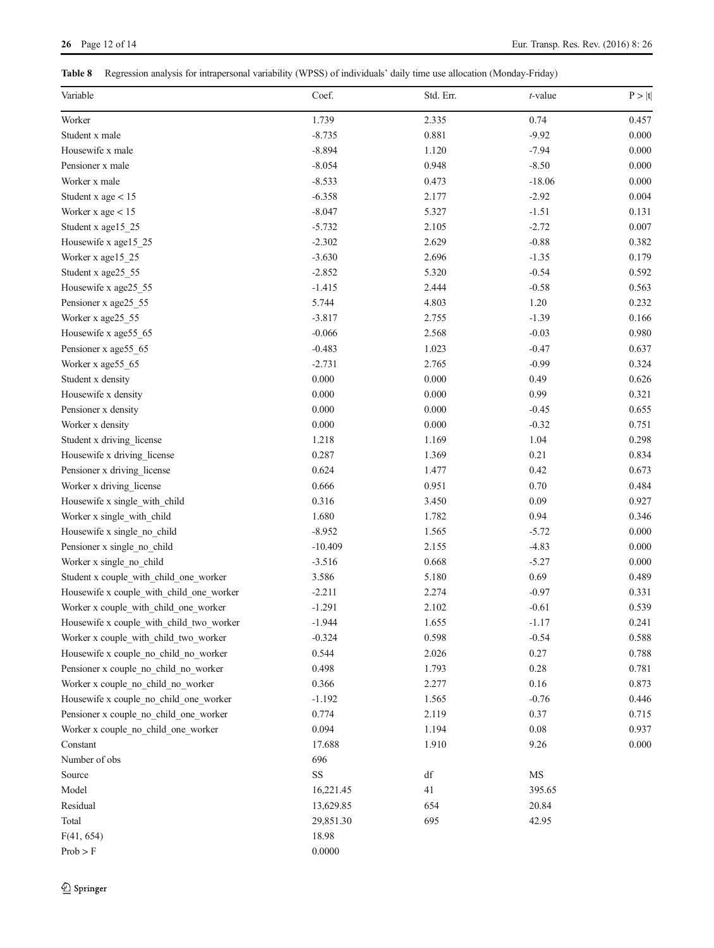<span id="page-11-0"></span>Table 8 Regression analysis for intrapersonal variability (WPSS) of individuals' daily time use allocation (Monday-Friday)

| Variable                                 | Coef.     | Std. Err. | $t$ -value | P >  t |
|------------------------------------------|-----------|-----------|------------|--------|
| Worker                                   | 1.739     | 2.335     | 0.74       | 0.457  |
| Student x male                           | $-8.735$  | 0.881     | $-9.92$    | 0.000  |
| Housewife x male                         | $-8.894$  | 1.120     | $-7.94$    | 0.000  |
| Pensioner x male                         | $-8.054$  | 0.948     | $-8.50$    | 0.000  |
| Worker x male                            | $-8.533$  | 0.473     | $-18.06$   | 0.000  |
| Student x age $< 15$                     | $-6.358$  | 2.177     | $-2.92$    | 0.004  |
| Worker $x \text{ age} < 15$              | $-8.047$  | 5.327     | $-1.51$    | 0.131  |
| Student x age15 25                       | $-5.732$  | 2.105     | $-2.72$    | 0.007  |
| Housewife x age15_25                     | $-2.302$  | 2.629     | $-0.88$    | 0.382  |
| Worker x age15_25                        | $-3.630$  | 2.696     | $-1.35$    | 0.179  |
| Student x age25_55                       | $-2.852$  | 5.320     | $-0.54$    | 0.592  |
| Housewife x age25_55                     | $-1.415$  | 2.444     | $-0.58$    | 0.563  |
| Pensioner x age25_55                     | 5.744     | 4.803     | 1.20       | 0.232  |
| Worker x age25_55                        | $-3.817$  | 2.755     | $-1.39$    | 0.166  |
| Housewife x age55_65                     | $-0.066$  | 2.568     | $-0.03$    | 0.980  |
| Pensioner x age55_65                     | $-0.483$  | 1.023     | $-0.47$    | 0.637  |
| Worker x age55_65                        | $-2.731$  | 2.765     | $-0.99$    | 0.324  |
| Student x density                        | 0.000     | 0.000     | 0.49       | 0.626  |
| Housewife x density                      | 0.000     | 0.000     | 0.99       | 0.321  |
| Pensioner x density                      | 0.000     | 0.000     | $-0.45$    | 0.655  |
| Worker x density                         | 0.000     | 0.000     | $-0.32$    | 0.751  |
| Student x driving license                | 1.218     | 1.169     | 1.04       | 0.298  |
| Housewife x driving license              | 0.287     | 1.369     | 0.21       | 0.834  |
| Pensioner x driving license              | 0.624     | 1.477     | 0.42       | 0.673  |
| Worker x driving license                 | 0.666     | 0.951     | 0.70       | 0.484  |
| Housewife x single_with_child            | 0.316     | 3.450     | 0.09       | 0.927  |
| Worker x single_with_child               | 1.680     | 1.782     | 0.94       | 0.346  |
| Housewife x single_no_child              | $-8.952$  | 1.565     | $-5.72$    | 0.000  |
| Pensioner x single_no_child              | $-10.409$ | 2.155     | $-4.83$    | 0.000  |
| Worker x single no child                 | $-3.516$  | 0.668     | $-5.27$    | 0.000  |
| Student x couple with child one worker   | 3.586     | 5.180     | 0.69       | 0.489  |
| Housewife x couple_with_child_one_worker | $-2.211$  | 2.274     | $-0.97$    | 0.331  |
| Worker x couple with child one worker    | $-1.291$  | 2.102     | $-0.61$    | 0.539  |
| Housewife x couple_with_child_two_worker | $-1.944$  | 1.655     | $-1.17$    | 0.241  |
| Worker x couple_with_child_two_worker    | $-0.324$  | 0.598     | $-0.54$    | 0.588  |
| Housewife x couple no child no worker    | 0.544     | 2.026     | 0.27       | 0.788  |
| Pensioner x couple no child no worker    | 0.498     | 1.793     | 0.28       | 0.781  |
| Worker x couple_no_child_no_worker       | 0.366     | 2.277     | 0.16       | 0.873  |
| Housewife x couple no child one worker   | $-1.192$  | 1.565     | $-0.76$    | 0.446  |
| Pensioner x couple_no_child_one_worker   | 0.774     | 2.119     | 0.37       | 0.715  |
| Worker x couple_no_child_one_worker      | 0.094     | 1.194     | $0.08\,$   | 0.937  |
| Constant                                 | 17.688    | 1.910     | 9.26       | 0.000  |
| Number of obs                            | 696       |           |            |        |
| Source                                   | SS        | df        | MS         |        |
| Model                                    | 16,221.45 | 41        | 395.65     |        |
| Residual                                 | 13,629.85 | 654       | 20.84      |        |
| Total                                    | 29,851.30 | 695       | 42.95      |        |
| F(41, 654)                               | 18.98     |           |            |        |
| Prob > F                                 | 0.0000    |           |            |        |
|                                          |           |           |            |        |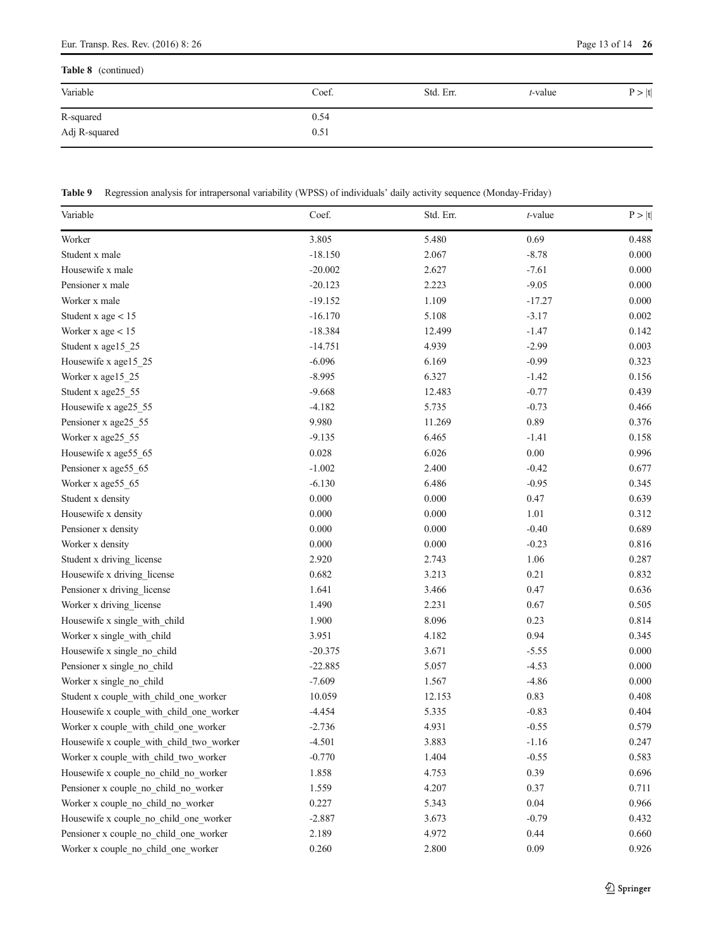## <span id="page-12-0"></span>Eur. Transp. Res. Rev. (2016) 8: 26 Page 13 of 14 26

## Table 8 (continued) Variable **Coef.** Std. Err. t-value P > |t| R-squared 0.54 Adj R-squared 0.51

Table 9 Regression analysis for intrapersonal variability (WPSS) of individuals' daily activity sequence (Monday-Friday)

| Variable                                 | Coef.     | Std. Err. | $t$ -value | P >  t |
|------------------------------------------|-----------|-----------|------------|--------|
| Worker                                   | 3.805     | 5.480     | 0.69       | 0.488  |
| Student x male                           | $-18.150$ | 2.067     | $-8.78$    | 0.000  |
| Housewife x male                         | $-20.002$ | 2.627     | $-7.61$    | 0.000  |
| Pensioner x male                         | $-20.123$ | 2.223     | $-9.05$    | 0.000  |
| Worker x male                            | $-19.152$ | 1.109     | $-17.27$   | 0.000  |
| Student x age $< 15$                     | $-16.170$ | 5.108     | $-3.17$    | 0.002  |
| Worker $x \text{ age} < 15$              | $-18.384$ | 12.499    | $-1.47$    | 0.142  |
| Student x age15 25                       | $-14.751$ | 4.939     | $-2.99$    | 0.003  |
| Housewife x age15_25                     | $-6.096$  | 6.169     | $-0.99$    | 0.323  |
| Worker x age15 25                        | $-8.995$  | 6.327     | $-1.42$    | 0.156  |
| Student x age25 55                       | $-9.668$  | 12.483    | $-0.77$    | 0.439  |
| Housewife x age25_55                     | $-4.182$  | 5.735     | $-0.73$    | 0.466  |
| Pensioner x age25_55                     | 9.980     | 11.269    | 0.89       | 0.376  |
| Worker x age25_55                        | $-9.135$  | 6.465     | $-1.41$    | 0.158  |
| Housewife x age55_65                     | 0.028     | 6.026     | 0.00       | 0.996  |
| Pensioner x age55 65                     | $-1.002$  | 2.400     | $-0.42$    | 0.677  |
| Worker x age55_65                        | $-6.130$  | 6.486     | $-0.95$    | 0.345  |
| Student x density                        | 0.000     | 0.000     | 0.47       | 0.639  |
| Housewife x density                      | 0.000     | 0.000     | 1.01       | 0.312  |
| Pensioner x density                      | 0.000     | 0.000     | $-0.40$    | 0.689  |
| Worker x density                         | 0.000     | 0.000     | $-0.23$    | 0.816  |
| Student x driving license                | 2.920     | 2.743     | 1.06       | 0.287  |
| Housewife x driving license              | 0.682     | 3.213     | 0.21       | 0.832  |
| Pensioner x driving license              | 1.641     | 3.466     | 0.47       | 0.636  |
| Worker x driving license                 | 1.490     | 2.231     | 0.67       | 0.505  |
| Housewife x single_with_child            | 1.900     | 8.096     | 0.23       | 0.814  |
| Worker x single_with_child               | 3.951     | 4.182     | 0.94       | 0.345  |
| Housewife x single no child              | $-20.375$ | 3.671     | $-5.55$    | 0.000  |
| Pensioner x single_no_child              | $-22.885$ | 5.057     | $-4.53$    | 0.000  |
| Worker x single_no_child                 | $-7.609$  | 1.567     | $-4.86$    | 0.000  |
| Student x couple_with_child_one_worker   | 10.059    | 12.153    | 0.83       | 0.408  |
| Housewife x couple_with_child_one_worker | $-4.454$  | 5.335     | $-0.83$    | 0.404  |
| Worker x couple with child one worker    | $-2.736$  | 4.931     | $-0.55$    | 0.579  |
| Housewife x couple with child two worker | $-4.501$  | 3.883     | $-1.16$    | 0.247  |
| Worker x couple with child two worker    | $-0.770$  | 1.404     | $-0.55$    | 0.583  |
| Housewife x couple no child no worker    | 1.858     | 4.753     | 0.39       | 0.696  |
| Pensioner x couple no child no worker    | 1.559     | 4.207     | 0.37       | 0.711  |
| Worker x couple_no_child_no_worker       | 0.227     | 5.343     | 0.04       | 0.966  |
| Housewife x couple_no_child_one_worker   | $-2.887$  | 3.673     | $-0.79$    | 0.432  |
| Pensioner x couple_no_child_one_worker   | 2.189     | 4.972     | 0.44       | 0.660  |
| Worker x couple no child one worker      | 0.260     | 2.800     | 0.09       | 0.926  |